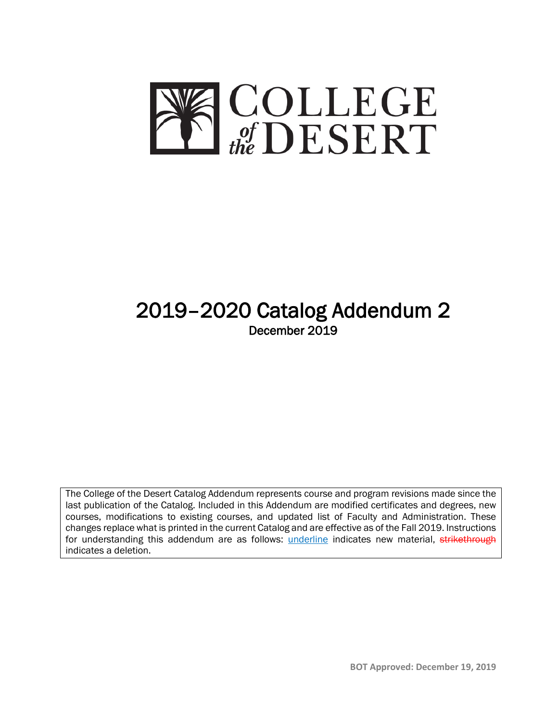

# 2019–2020 Catalog Addendum 2 December 2019

The College of the Desert Catalog Addendum represents course and program revisions made since the last publication of the Catalog. Included in this Addendum are modified certificates and degrees, new courses, modifications to existing courses, and updated list of Faculty and Administration. These changes replace what is printed in the current Catalog and are effective as of the Fall 2019. Instructions for understanding this addendum are as follows: *underline* indicates new material, strikethrough indicates a deletion.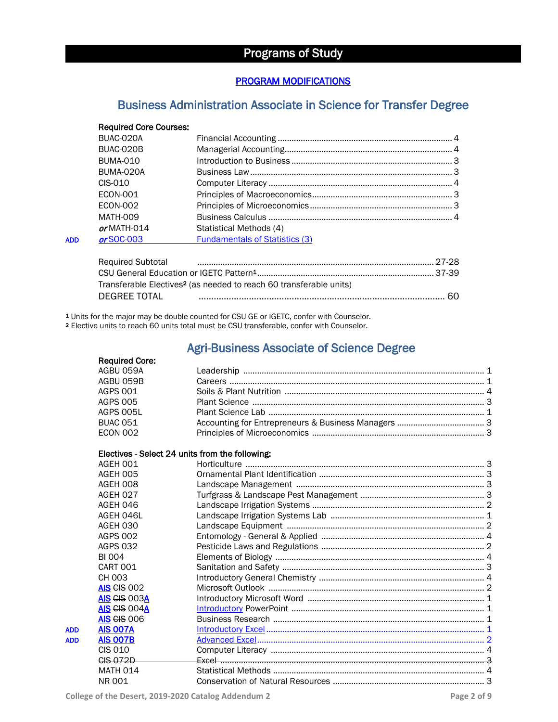# Programs of Study

### PROGRAM MODIFICATIONS

# Business Administration Associate in Science for Transfer Degree

### Required Core Courses:

|            | BUAC-020A       |                                       |  |
|------------|-----------------|---------------------------------------|--|
|            | BUAC-020B       |                                       |  |
|            | <b>BUMA-010</b> |                                       |  |
|            | BUMA-020A       |                                       |  |
|            | CIS-010         |                                       |  |
|            | <b>ECON-001</b> |                                       |  |
|            | ECON-002        |                                       |  |
|            | <b>MATH-009</b> |                                       |  |
|            | $or$ MATH-014   | Statistical Methods (4)               |  |
| <b>ADD</b> | $or$ SOC-003    | <b>Fundamentals of Statistics (3)</b> |  |
|            |                 |                                       |  |

| <b>Required Subtotal</b> |                                                                                |     |
|--------------------------|--------------------------------------------------------------------------------|-----|
|                          |                                                                                |     |
|                          | Transferable Electives <sup>2</sup> (as needed to reach 60 transferable units) |     |
| DEGREE TOTAL             |                                                                                | 60. |
|                          |                                                                                |     |

Agri-Business Associate of Science Degree

1 Units for the major may be double counted for CSU GE or IGETC, confer with Counselor.

2 Elective units to reach 60 units total must be CSU transferable, confer with Counselor.

|            | <b>Required Core:</b> |                                                 |  |
|------------|-----------------------|-------------------------------------------------|--|
|            | AGBU 059A             |                                                 |  |
|            | AGBU 059B             |                                                 |  |
|            | <b>AGPS 001</b>       |                                                 |  |
|            | <b>AGPS 005</b>       |                                                 |  |
|            | AGPS 005L             |                                                 |  |
|            | <b>BUAC 051</b>       |                                                 |  |
|            | <b>ECON 002</b>       |                                                 |  |
|            |                       | Electives - Select 24 units from the following: |  |
|            | AGEH 001              |                                                 |  |
|            | AGEH 005              |                                                 |  |
|            | AGEH 008              |                                                 |  |
|            | AGEH 027              |                                                 |  |
|            | AGEH 046              |                                                 |  |
|            | AGEH 046L             |                                                 |  |
|            | AGEH 030              |                                                 |  |
|            | <b>AGPS 002</b>       |                                                 |  |
|            | <b>AGPS 032</b>       |                                                 |  |
|            | <b>BI 004</b>         |                                                 |  |
|            | <b>CART 001</b>       |                                                 |  |
|            | <b>CH 003</b>         |                                                 |  |
|            | <b>AIS CIS 002</b>    |                                                 |  |
|            | AIS CIS 003A          |                                                 |  |
|            | AIS GIS 004A          |                                                 |  |
|            | <b>AIS GIS 006</b>    |                                                 |  |
| <b>ADD</b> | <b>AIS 007A</b>       |                                                 |  |
| <b>ADD</b> | <b>AIS 007B</b>       |                                                 |  |
|            | <b>CIS 010</b>        |                                                 |  |
|            | <b>CIS 072D</b>       |                                                 |  |
|            | <b>MATH 014</b>       |                                                 |  |
|            | <b>NR 001</b>         |                                                 |  |
|            |                       |                                                 |  |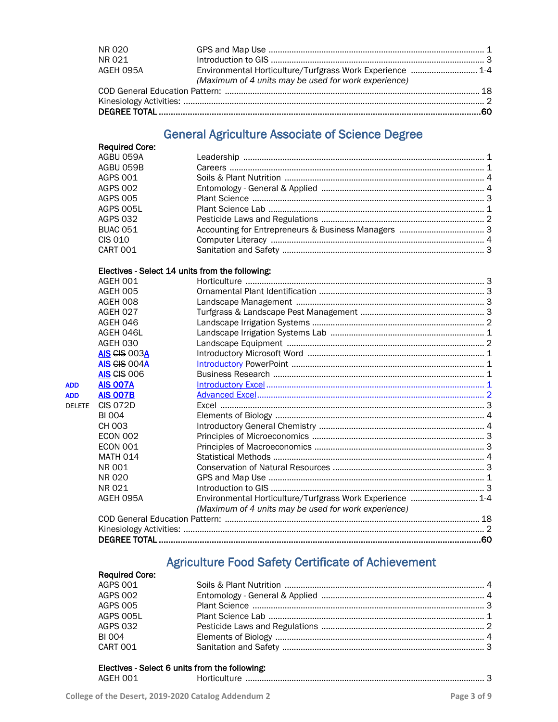| NR 020    |                                                           |  |
|-----------|-----------------------------------------------------------|--|
| NR 021    |                                                           |  |
| AGEH 095A | Environmental Horticulture/Turfgrass Work Experience  1-4 |  |
|           | (Maximum of 4 units may be used for work experience)      |  |
|           |                                                           |  |
|           |                                                           |  |
|           |                                                           |  |

# **General Agriculture Associate of Science Degree**

|               | <b>Required Core:</b>                           |                                                           |  |
|---------------|-------------------------------------------------|-----------------------------------------------------------|--|
|               | AGBU 059A                                       |                                                           |  |
|               | AGBU 059B                                       |                                                           |  |
|               | <b>AGPS 001</b>                                 |                                                           |  |
|               | <b>AGPS 002</b>                                 |                                                           |  |
|               | <b>AGPS 005</b>                                 |                                                           |  |
|               | AGPS 005L                                       |                                                           |  |
|               | <b>AGPS 032</b>                                 |                                                           |  |
|               | <b>BUAC 051</b>                                 |                                                           |  |
|               | <b>CIS 010</b>                                  |                                                           |  |
|               | <b>CART 001</b>                                 |                                                           |  |
|               | Electives - Select 14 units from the following: |                                                           |  |
|               | AGEH 001                                        |                                                           |  |
|               | AGEH 005                                        |                                                           |  |
|               | AGEH 008                                        |                                                           |  |
|               | AGEH 027                                        |                                                           |  |
|               | AGEH 046                                        |                                                           |  |
|               | AGEH 046L                                       |                                                           |  |
|               | AGEH 030                                        |                                                           |  |
|               | AIS CIS 003A                                    |                                                           |  |
|               | AIS CIS 004A                                    |                                                           |  |
|               | AIS CIS 006                                     |                                                           |  |
| <b>ADD</b>    | <b>AIS 007A</b>                                 |                                                           |  |
| <b>ADD</b>    | <b>AIS 007B</b>                                 |                                                           |  |
| <b>DELETE</b> | <b>CIS 072D</b>                                 |                                                           |  |
|               | <b>BI 004</b>                                   |                                                           |  |
|               | <b>CH 003</b>                                   |                                                           |  |
|               | <b>ECON 002</b>                                 |                                                           |  |
|               | ECON 001                                        |                                                           |  |
|               | <b>MATH 014</b>                                 |                                                           |  |
|               | NR 001                                          |                                                           |  |
|               | NR 020                                          |                                                           |  |
|               | NR 021                                          |                                                           |  |
|               | AGEH 095A                                       | Environmental Horticulture/Turfgrass Work Experience  1-4 |  |
|               |                                                 | (Maximum of 4 units may be used for work experience)      |  |
|               |                                                 |                                                           |  |
|               |                                                 |                                                           |  |
|               |                                                 |                                                           |  |

# **Agriculture Food Safety Certificate of Achievement**

|                       | $\sim$ |  |
|-----------------------|--------|--|
| <b>Required Core:</b> |        |  |
| <b>AGPS 001</b>       |        |  |
| AGPS 002              |        |  |
| AGPS 005              |        |  |
| AGPS 005L             |        |  |
| AGPS 032              |        |  |
| BI 004                |        |  |
| CART 001              |        |  |
|                       |        |  |

|                                                         | Electives - Select 6 units from the following: |
|---------------------------------------------------------|------------------------------------------------|
| $\Lambda$ $\cap$ $\Gamma$ $\Lambda$ $\Lambda$ $\Lambda$ | مسيطيم ناملل                                   |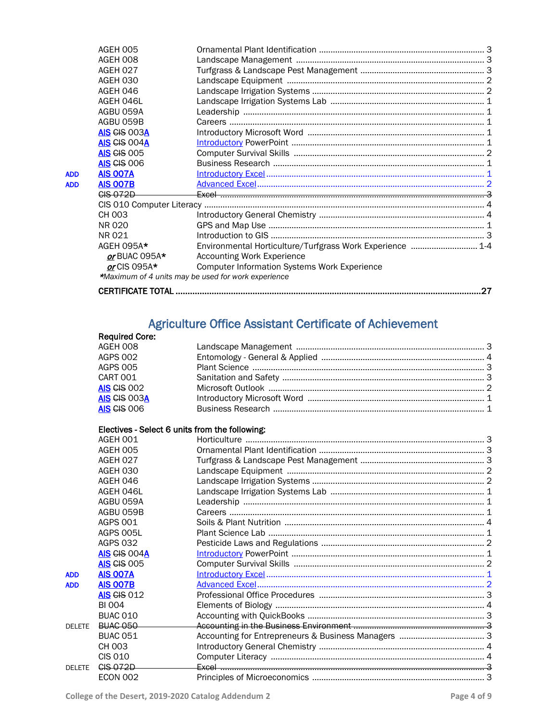|            | AGEH 005            |                                                           |     |
|------------|---------------------|-----------------------------------------------------------|-----|
|            | AGEH 008            |                                                           |     |
|            | AGEH 027            |                                                           |     |
|            | <b>AGEH 030</b>     |                                                           |     |
|            | AGEH 046            |                                                           |     |
|            | AGEH 046L           |                                                           |     |
|            | AGBU 059A           |                                                           |     |
|            | AGBU 059B           |                                                           |     |
|            | <b>AIS CIS 003A</b> |                                                           |     |
|            | AIS CIS 004A        |                                                           |     |
|            | <b>AIS CIS 005</b>  |                                                           |     |
|            | <b>AIS CIS 006</b>  |                                                           |     |
| <b>ADD</b> | <b>AIS 007A</b>     |                                                           |     |
| <b>ADD</b> | <b>AIS 007B</b>     |                                                           |     |
|            | CIS 072D            |                                                           |     |
|            |                     |                                                           |     |
|            | CH 003              |                                                           |     |
|            | NR 020              |                                                           |     |
|            | NR 021              |                                                           |     |
|            | AGEH 095A*          | Environmental Horticulture/Turfgrass Work Experience  1-4 |     |
|            | or BUAC 095A*       | <b>Accounting Work Experience</b>                         |     |
|            | $or$ CIS 095A*      | <b>Computer Information Systems Work Experience</b>       |     |
|            |                     | *Maximum of 4 units may be used for work experience       |     |
|            |                     |                                                           | .27 |
|            |                     |                                                           |     |

# Agriculture Office Assistant Certificate of Achievement

|               | Required Core:                                 |  |
|---------------|------------------------------------------------|--|
|               | AGEH 008                                       |  |
|               | <b>AGPS 002</b>                                |  |
|               | <b>AGPS 005</b>                                |  |
|               | <b>CART 001</b>                                |  |
|               | <b>AIS CIS 002</b>                             |  |
|               | AIS CIS 003A                                   |  |
|               | <b>AIS CIS 006</b>                             |  |
|               | Electives - Select 6 units from the following: |  |
|               | AGEH 001                                       |  |
|               | AGEH 005                                       |  |
|               | AGEH 027                                       |  |
|               | <b>AGEH 030</b>                                |  |
|               | AGEH 046                                       |  |
|               | AGEH 046L                                      |  |
|               | AGBU 059A                                      |  |
|               | AGBU 059B                                      |  |
|               | <b>AGPS 001</b>                                |  |
|               | AGPS 005L                                      |  |
|               | <b>AGPS 032</b>                                |  |
|               | <b>AIS CIS 004A</b>                            |  |
|               | <b>AIS CIS 005</b>                             |  |
| <b>ADD</b>    | <b>AIS 007A</b>                                |  |
| <b>ADD</b>    | <b>AIS 007B</b>                                |  |
|               | <b>AIS CIS 012</b>                             |  |
|               | <b>BI 004</b>                                  |  |
|               | <b>BUAC 010</b>                                |  |
| <b>DELETE</b> | <b>BUAC 050</b>                                |  |
|               | <b>BUAC 051</b>                                |  |
|               | CH 003                                         |  |
|               | <b>CIS 010</b>                                 |  |
| <b>DELETE</b> | <b>CIS 072D</b>                                |  |
|               | <b>ECON 002</b>                                |  |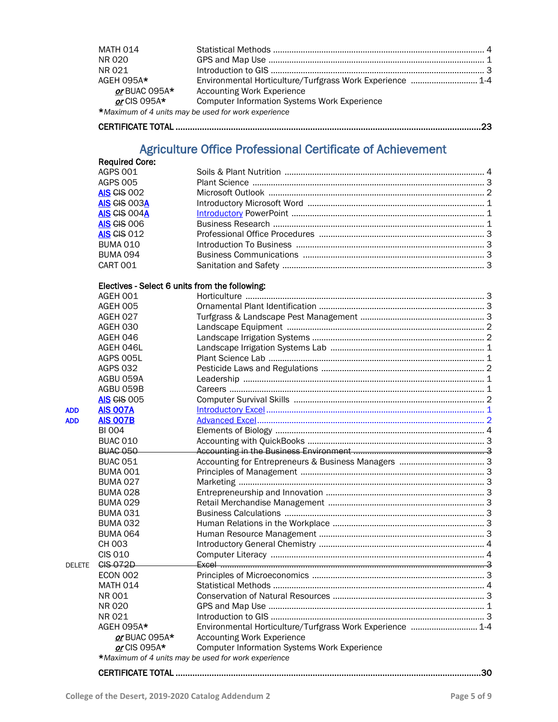| <b>MATH 014</b>  |                                                                   |  |
|------------------|-------------------------------------------------------------------|--|
| NR 020           |                                                                   |  |
| NR 021           |                                                                   |  |
| AGEH 095A*       | Environmental Horticulture/Turfgrass Work Experience  1-4         |  |
| or BUAC 095A $*$ | <b>Accounting Work Experience</b>                                 |  |
|                  | or CIS 095A* Computer Information Systems Work Experience         |  |
|                  | *Maximum of 4 units may be used for work experience               |  |
|                  |                                                                   |  |
|                  |                                                                   |  |
|                  | A subjective CCC in Deckerational Continuing Antibodian construct |  |

# Agriculture Office Professional Certificate of Achievement Required Core:

|            | nogunoù ooro.                                  |                                                           |  |
|------------|------------------------------------------------|-----------------------------------------------------------|--|
|            | <b>AGPS 001</b><br><b>AGPS 005</b>             |                                                           |  |
|            | <b>AIS CIS 002</b>                             |                                                           |  |
|            |                                                |                                                           |  |
|            | AIS CIS 003A                                   |                                                           |  |
|            | AIS CIS 004A                                   |                                                           |  |
|            | AIS CIS 006                                    |                                                           |  |
|            | <b>AIS CIS 012</b>                             |                                                           |  |
|            | <b>BUMA 010</b>                                |                                                           |  |
|            | <b>BUMA 094</b><br><b>CART 001</b>             |                                                           |  |
|            |                                                |                                                           |  |
|            | Electives - Select 6 units from the following: |                                                           |  |
|            | AGEH 001                                       |                                                           |  |
|            | AGEH 005                                       |                                                           |  |
|            | AGEH 027                                       |                                                           |  |
|            | AGEH 030                                       |                                                           |  |
|            | AGEH 046                                       |                                                           |  |
|            | AGEH 046L                                      |                                                           |  |
|            | AGPS 005L                                      |                                                           |  |
|            | <b>AGPS 032</b>                                |                                                           |  |
|            | AGBU 059A                                      |                                                           |  |
|            | AGBU 059B                                      |                                                           |  |
|            | <b>AIS CIS 005</b>                             |                                                           |  |
| ADD        | <b>AIS 007A</b>                                |                                                           |  |
| <b>ADD</b> | <b>AIS 007B</b>                                |                                                           |  |
|            | <b>BI 004</b>                                  |                                                           |  |
|            | <b>BUAC 010</b>                                |                                                           |  |
|            | <b>BUAC 050</b>                                |                                                           |  |
|            | <b>BUAC 051</b>                                |                                                           |  |
|            | <b>BUMA 001</b>                                |                                                           |  |
|            | <b>BUMA 027</b>                                |                                                           |  |
|            | <b>BUMA 028</b>                                |                                                           |  |
|            | <b>BUMA 029</b>                                |                                                           |  |
|            | <b>BUMA 031</b>                                |                                                           |  |
|            | <b>BUMA 032</b>                                |                                                           |  |
|            | <b>BUMA 064</b>                                |                                                           |  |
|            | CH 003                                         |                                                           |  |
|            | <b>CIS 010</b>                                 |                                                           |  |
|            | Delete <del>CIS-072D</del>                     |                                                           |  |
|            | ECON 002                                       |                                                           |  |
|            | <b>MATH 014</b>                                |                                                           |  |
|            | NR 001                                         |                                                           |  |
|            | NR 020                                         |                                                           |  |
|            | NR 021                                         |                                                           |  |
|            | AGEH 095A*                                     | Environmental Horticulture/Turfgrass Work Experience  1-4 |  |
|            | or BUAC 095A*                                  | <b>Accounting Work Experience</b>                         |  |
|            | or CIS 095A*                                   | <b>Computer Information Systems Work Experience</b>       |  |
|            |                                                | *Maximum of 4 units may be used for work experience       |  |

CERTIFICATE TOTAL ............................................................................................................................... 30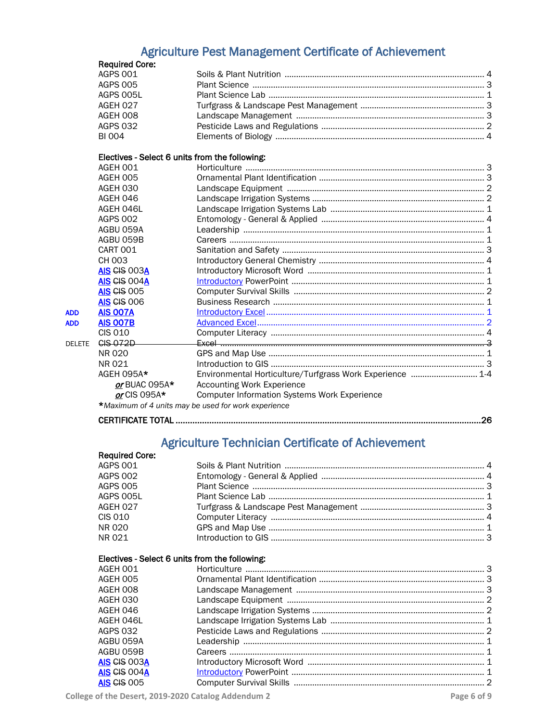# Agriculture Pest Management Certificate of Achievement

|               | <b>Required Core:</b>                          |                                                           |  |
|---------------|------------------------------------------------|-----------------------------------------------------------|--|
|               | <b>AGPS 001</b>                                |                                                           |  |
|               | <b>AGPS 005</b>                                |                                                           |  |
|               | AGPS 005L                                      |                                                           |  |
|               | AGEH 027                                       |                                                           |  |
|               | AGEH 008                                       |                                                           |  |
|               | <b>AGPS 032</b>                                |                                                           |  |
|               | <b>BI 004</b>                                  |                                                           |  |
|               | Electives - Select 6 units from the following: |                                                           |  |
|               | AGEH 001                                       |                                                           |  |
|               | AGEH 005                                       |                                                           |  |
|               | AGEH 030                                       |                                                           |  |
|               | AGEH 046                                       |                                                           |  |
|               | AGEH 046L                                      |                                                           |  |
|               | <b>AGPS 002</b>                                |                                                           |  |
|               | AGBU 059A                                      |                                                           |  |
|               | AGBU 059B                                      |                                                           |  |
|               | <b>CART 001</b>                                |                                                           |  |
|               | CH 003                                         |                                                           |  |
|               | AIS CIS 003A                                   |                                                           |  |
|               | AIS GIS 004A                                   |                                                           |  |
|               | <b>AIS CIS 005</b>                             |                                                           |  |
|               | <b>AIS CIS 006</b>                             |                                                           |  |
| <b>ADD</b>    | <b>AIS 007A</b>                                |                                                           |  |
| <b>ADD</b>    | <b>AIS 007B</b>                                |                                                           |  |
|               | <b>CIS 010</b>                                 |                                                           |  |
| <b>DELETE</b> | <b>CIS 072D</b>                                |                                                           |  |
|               | <b>NR 020</b>                                  |                                                           |  |
|               | NR 021                                         |                                                           |  |
|               | AGEH 095A*                                     | Environmental Horticulture/Turfgrass Work Experience  1-4 |  |
|               | or BUAC 095A*                                  | <b>Accounting Work Experience</b>                         |  |
|               | or CIS 095A*                                   | <b>Computer Information Systems Work Experience</b>       |  |
|               |                                                | *Maximum of 4 units may be used for work experience       |  |

|--|

# Agriculture Technician Certificate of Achievement<br>Required Core:

| <b>Required Core:</b>                          |  |
|------------------------------------------------|--|
| <b>AGPS 001</b>                                |  |
| AGPS 002                                       |  |
| <b>AGPS 005</b>                                |  |
| AGPS 005L                                      |  |
| AGEH 027                                       |  |
| <b>CIS 010</b>                                 |  |
| NR 020                                         |  |
| NR 021                                         |  |
|                                                |  |
| Electives - Select 6 units from the following: |  |
| AGEH 001                                       |  |
| AGEH 005                                       |  |
| AGEH 008                                       |  |
| AGEH 030                                       |  |
| AGEH 046                                       |  |
| AGEH 046L                                      |  |
| <b>AGPS 032</b>                                |  |
| AGBU 059A                                      |  |
| AGBU 059B                                      |  |
| AIS GIS 003A                                   |  |
| AIS CIS 004A                                   |  |
| <b>AIS CIS 005</b>                             |  |
|                                                |  |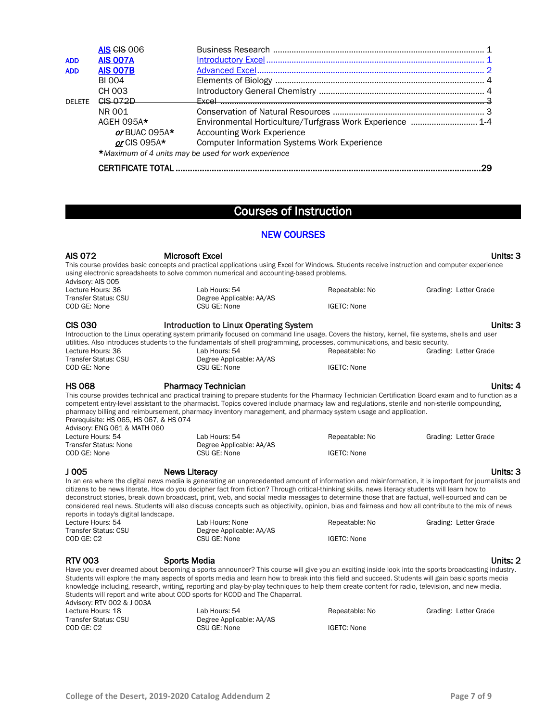|                                        | AIS CIS 006                                         |                                                                                                                                              |                    |                       |  |
|----------------------------------------|-----------------------------------------------------|----------------------------------------------------------------------------------------------------------------------------------------------|--------------------|-----------------------|--|
| <b>ADD</b>                             | <b>AIS 007A</b>                                     |                                                                                                                                              |                    |                       |  |
| <b>ADD</b>                             | <b>AIS 007B</b>                                     |                                                                                                                                              |                    |                       |  |
|                                        | <b>BI 004</b>                                       |                                                                                                                                              |                    |                       |  |
|                                        | CH 003                                              |                                                                                                                                              |                    |                       |  |
| <b>DELETE</b>                          | <b>CIS 072D</b>                                     |                                                                                                                                              |                    |                       |  |
|                                        | NR 001                                              |                                                                                                                                              |                    |                       |  |
|                                        | AGEH 095A*                                          | Environmental Horticulture/Turfgrass Work Experience  1-4                                                                                    |                    |                       |  |
|                                        | or BUAC 095A*                                       | <b>Accounting Work Experience</b>                                                                                                            |                    |                       |  |
|                                        | $or$ CIS 095A $\star$                               | <b>Computer Information Systems Work Experience</b>                                                                                          |                    |                       |  |
|                                        |                                                     |                                                                                                                                              |                    |                       |  |
|                                        | *Maximum of 4 units may be used for work experience |                                                                                                                                              |                    |                       |  |
|                                        |                                                     |                                                                                                                                              |                    | .29                   |  |
|                                        |                                                     |                                                                                                                                              |                    |                       |  |
|                                        |                                                     |                                                                                                                                              |                    |                       |  |
|                                        |                                                     |                                                                                                                                              |                    |                       |  |
|                                        |                                                     | <b>Courses of Instruction</b>                                                                                                                |                    |                       |  |
|                                        |                                                     |                                                                                                                                              |                    |                       |  |
|                                        |                                                     | <b>NEW COURSES</b>                                                                                                                           |                    |                       |  |
|                                        |                                                     |                                                                                                                                              |                    |                       |  |
| <b>AIS 072</b>                         | <b>Microsoft Excel</b>                              |                                                                                                                                              |                    | Units: 3              |  |
|                                        |                                                     | This course provides basic concepts and practical applications using Excel for Windows. Students receive instruction and computer experience |                    |                       |  |
|                                        |                                                     | using electronic spreadsheets to solve common numerical and accounting-based problems.                                                       |                    |                       |  |
| Advisory: AIS 005<br>Lecture Hours: 36 |                                                     |                                                                                                                                              |                    |                       |  |
|                                        | <b>Transfer Status: CSU</b>                         | Lab Hours: 54<br>Degree Applicable: AA/AS                                                                                                    | Repeatable: No     | Grading: Letter Grade |  |
| COD GE: None                           |                                                     | CSU GE: None                                                                                                                                 | <b>IGETC: None</b> |                       |  |

# CIS 030 **Introduction to Linux Operating System**<br>Introduction to the Linux operating system primarily focused on command line usage. Covers the history, kernel, file systems, shells and user

utilities. Also introduces students to the fundamentals of shell programming, processes, communications, and basic security.<br>Lecture Hours: 36 Lab Hours: 54 Repeatable: No Grading Lecture Hours: 36 Lab Hours: 54 Lab Hours: 54 Repeatable: No Grading: Letter Grade<br>Transfer Status: CSU Cab Degree Applicable: AA/AS Transfer Status: CSU Degree Applicable: AA/AS<br>
COD GE: None CSU GE: None CSU GE: None IGETC: None

**HS 068** Pharmacy Technician<br>This course provides technical and practical training to prepare students for the Pharmacy Technician Certification Board exam and to function as a competent entry-level assistant to the pharmacist. Topics covered include pharmacy law and regulations, sterile and non-sterile compounding, pharmacy billing and reimbursement, pharmacy inventory management, and pharmacy system usage and application. Prerequisite: HS 065, HS 067, & HS 074 Advisory: ENG 061 & MATH 060

| <b>AUVISULY.</b> LIVE OUT & IVIATIT OUU |                          |                |                       |
|-----------------------------------------|--------------------------|----------------|-----------------------|
| Lecture Hours: 54                       | Lab Hours: 54            | Repeatable: No | Grading: Letter Grade |
| Transfer Status: None                   | Degree Applicable: AA/AS |                |                       |
| COD GE: None                            | CSU GE: None             | IGETC: None    |                       |
|                                         |                          |                |                       |

J 005 **News Literacy**<br>In an era where the digital news media is generating an unprecedented amount of information and misinformation, it is important for journalists and citizens to be news literate. How do you decipher fact from fiction? Through critical-thinking skills, news literacy students will learn how to deconstruct stories, break down broadcast, print, web, and social media messages to determine those that are factual, well-sourced and can be considered real news. Students will also discuss concepts such as objectivity, opinion, bias and fairness and how all contribute to the mix of news

reports in today's digital landscape. Lecture Hours: 54 Lab Hours: None Communisty Repeatable: No Grading: Letter Grade<br>Transfer Status: CSU Communisty Degree Applicable: AA/AS Transfer Status: CSU Degree Applicable: AA/AS<br>
COD GE: C2 CSU CSU GE: None CSU GE: None **IGETC: None** 

**RTV 003** Sports Media<br>Have you ever dreamed about becoming a sports announcer? This course will give you an exciting inside look into the sports broadcasting industry. Students will explore the many aspects of sports media and learn how to break into this field and succeed. Students will gain basic sports media knowledge including, research, writing, reporting and play-by-play techniques to help them create content for radio, television, and new media. Students will report and write about COD sports for KCOD and The Chaparral.<br>Advisory: RTV 002 & L003A

| Advisory: RTV 002 & J 003A |                          |                |                       |
|----------------------------|--------------------------|----------------|-----------------------|
| Lecture Hours: 18          | Lab Hours: 54            | Repeatable: No | Grading: Letter Grade |
| Transfer Status: CSU       | Degree Applicable: AA/AS |                |                       |
| COD GE: C2                 | CSU GE: None             | IGETC: None    |                       |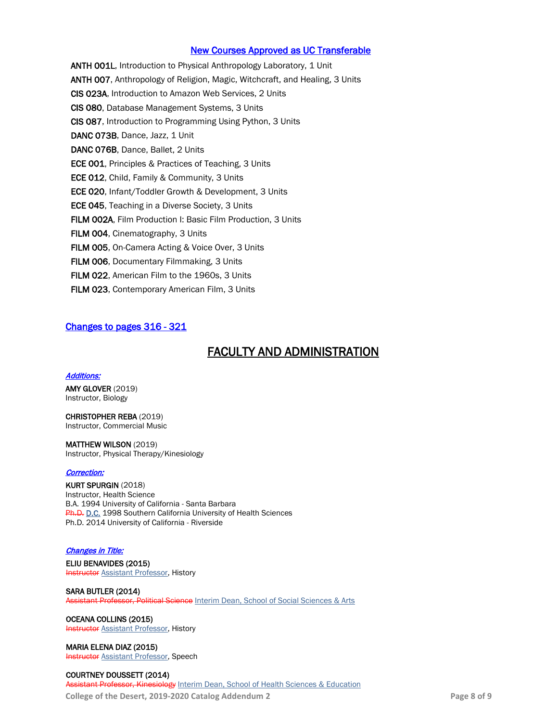### New Courses Approved as UC Transferable

ANTH 001L, Introduction to Physical Anthropology Laboratory, 1 Unit ANTH 007, Anthropology of Religion, Magic, Witchcraft, and Healing, 3 Units CIS 023A, Introduction to Amazon Web Services, 2 Units CIS 080, Database Management Systems, 3 Units CIS 087, Introduction to Programming Using Python, 3 Units DANC 073B, Dance, Jazz, 1 Unit DANC 076B, Dance, Ballet, 2 Units ECE 001, Principles & Practices of Teaching, 3 Units ECE 012, Child, Family & Community, 3 Units ECE 020, Infant/Toddler Growth & Development, 3 Units ECE 045, Teaching in a Diverse Society, 3 Units FILM 002A, Film Production I: Basic Film Production, 3 Units FILM 004, Cinematography, 3 Units FILM 005, On-Camera Acting & Voice Over, 3 Units FILM 006, Documentary Filmmaking, 3 Units FILM 022, American Film to the 1960s, 3 Units FILM 023, Contemporary American Film, 3 Units

### Changes to pages 316 - 321

# FACULTY AND ADMINISTRATION

### Additions:

AMY GLOVER (2019) Instructor, Biology

CHRISTOPHER REBA (2019) Instructor, Commercial Music

MATTHEW WILSON (2019) Instructor, Physical Therapy/Kinesiology

#### Correction:

KURT SPURGIN (2018) Instructor, Health Science B.A. 1994 University of California - Santa Barbara Ph.D. D.C. 1998 Southern California University of Health Sciences Ph.D. 2014 University of California - Riverside

### **Changes in Title:**

ELIU BENAVIDES (2015) **Instructor Assistant Professor, History** 

#### SARA BUTLER (2014)

**Hitical Science** Interim Dean, School of Social Sciences & Arts

OCEANA COLLINS (2015) **Instructor Assistant Professor, History** 

MARIA ELENA DIAZ (2015) **Instructor Assistant Professor, Speech** 

**College of the Desert, 2019-2020 Catalog Addendum 2 Page 8 of 9** COURTNEY DOUSSETT (2014) **or, Kinesiology** Interim Dean, School of Health Sciences & Education